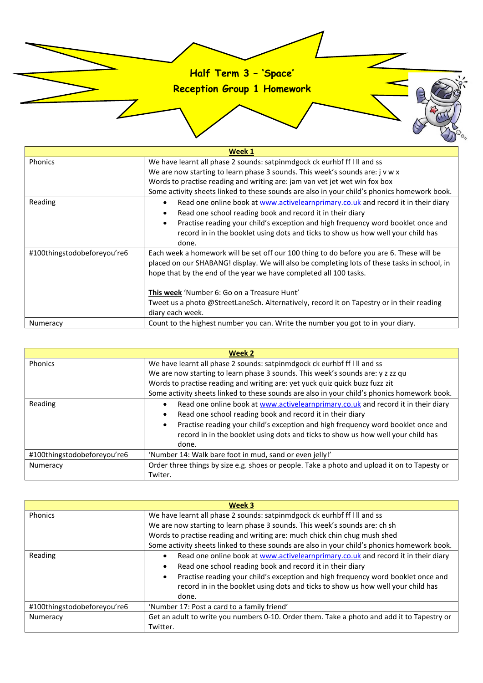## **Half Term 3 – 'Space'**

**Reception Group 1 Homework**

| Week 1                      |                                                                                                |
|-----------------------------|------------------------------------------------------------------------------------------------|
| Phonics                     | We have learnt all phase 2 sounds: satpinmdgock ck eurhbf ff I II and ss                       |
|                             | We are now starting to learn phase 3 sounds. This week's sounds are: j v w x                   |
|                             | Words to practise reading and writing are: jam van vet jet wet win fox box                     |
|                             | Some activity sheets linked to these sounds are also in your child's phonics homework book.    |
| Reading                     | Read one online book at www.activelearnprimary.co.uk and record it in their diary<br>$\bullet$ |
|                             | Read one school reading book and record it in their diary<br>٠                                 |
|                             | Practise reading your child's exception and high frequency word booklet once and<br>$\bullet$  |
|                             | record in in the booklet using dots and ticks to show us how well your child has               |
|                             | done.                                                                                          |
| #100thingstodobeforeyou're6 | Each week a homework will be set off our 100 thing to do before you are 6. These will be       |
|                             | placed on our SHABANG! display. We will also be completing lots of these tasks in school, in   |
|                             | hope that by the end of the year we have completed all 100 tasks.                              |
|                             |                                                                                                |
|                             | This week 'Number 6: Go on a Treasure Hunt'                                                    |
|                             | Tweet us a photo @StreetLaneSch. Alternatively, record it on Tapestry or in their reading      |
|                             | diary each week.                                                                               |
| Numeracy                    | Count to the highest number you can. Write the number you got to in your diary.                |

| Week 2                      |                                                                                              |
|-----------------------------|----------------------------------------------------------------------------------------------|
| Phonics                     | We have learnt all phase 2 sounds: satpinmdgock ck eurhbf ff I II and ss                     |
|                             | We are now starting to learn phase 3 sounds. This week's sounds are: y z zz qu               |
|                             | Words to practise reading and writing are: yet yuck quiz quick buzz fuzz zit                 |
|                             | Some activity sheets linked to these sounds are also in your child's phonics homework book.  |
| Reading                     | Read one online book at www.activelearnprimary.co.uk and record it in their diary            |
|                             | Read one school reading book and record it in their diary                                    |
|                             | Practise reading your child's exception and high frequency word booklet once and             |
|                             | record in in the booklet using dots and ticks to show us how well your child has             |
|                             | done.                                                                                        |
| #100thingstodobeforeyou're6 | 'Number 14: Walk bare foot in mud, sand or even jelly!'                                      |
| Numeracy                    | Order three things by size e.g. shoes or people. Take a photo and upload it on to Tapesty or |
|                             | Twiter.                                                                                      |

| Week 3                      |                                                                                               |
|-----------------------------|-----------------------------------------------------------------------------------------------|
| Phonics                     | We have learnt all phase 2 sounds: satpinmdgock ck eurhbf ff I II and ss                      |
|                             | We are now starting to learn phase 3 sounds. This week's sounds are: ch sh                    |
|                             | Words to practise reading and writing are: much chick chin chug mush shed                     |
|                             | Some activity sheets linked to these sounds are also in your child's phonics homework book.   |
| Reading                     | Read one online book at www.activelearnprimary.co.uk and record it in their diary             |
|                             | Read one school reading book and record it in their diary<br>$\bullet$                        |
|                             | Practise reading your child's exception and high frequency word booklet once and<br>$\bullet$ |
|                             | record in in the booklet using dots and ticks to show us how well your child has              |
|                             | done.                                                                                         |
| #100thingstodobeforeyou're6 | 'Number 17: Post a card to a family friend'                                                   |
| Numeracy                    | Get an adult to write you numbers 0-10. Order them. Take a photo and add it to Tapestry or    |
|                             | Twitter.                                                                                      |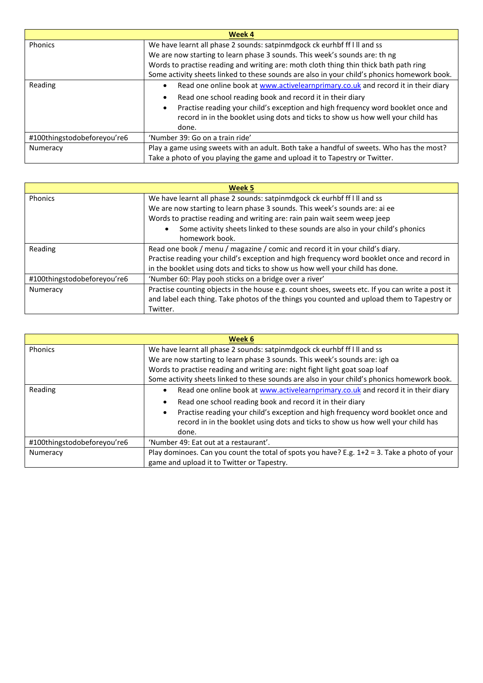| <b>Week 4</b>               |                                                                                                |
|-----------------------------|------------------------------------------------------------------------------------------------|
| Phonics                     | We have learnt all phase 2 sounds: satpinmdgock ck eurhbf ff I II and ss                       |
|                             | We are now starting to learn phase 3 sounds. This week's sounds are: th ng                     |
|                             | Words to practise reading and writing are: moth cloth thing thin thick bath path ring          |
|                             | Some activity sheets linked to these sounds are also in your child's phonics homework book.    |
| Reading                     | Read one online book at www.activelearnprimary.co.uk and record it in their diary<br>$\bullet$ |
|                             | Read one school reading book and record it in their diary<br>٠                                 |
|                             | Practise reading your child's exception and high frequency word booklet once and<br>$\bullet$  |
|                             | record in in the booklet using dots and ticks to show us how well your child has               |
|                             | done.                                                                                          |
| #100thingstodobeforeyou're6 | 'Number 39: Go on a train ride'                                                                |
| Numeracy                    | Play a game using sweets with an adult. Both take a handful of sweets. Who has the most?       |
|                             | Take a photo of you playing the game and upload it to Tapestry or Twitter.                     |

| Week 5                      |                                                                                                 |
|-----------------------------|-------------------------------------------------------------------------------------------------|
| Phonics                     | We have learnt all phase 2 sounds: satpinmdgock ck eurhbf ff I II and ss                        |
|                             | We are now starting to learn phase 3 sounds. This week's sounds are: ai ee                      |
|                             | Words to practise reading and writing are: rain pain wait seem weep jeep                        |
|                             | Some activity sheets linked to these sounds are also in your child's phonics                    |
|                             | homework book.                                                                                  |
| Reading                     | Read one book / menu / magazine / comic and record it in your child's diary.                    |
|                             | Practise reading your child's exception and high frequency word booklet once and record in      |
|                             | in the booklet using dots and ticks to show us how well your child has done.                    |
| #100thingstodobeforeyou're6 | 'Number 60: Play pooh sticks on a bridge over a river'                                          |
| Numeracy                    | Practise counting objects in the house e.g. count shoes, sweets etc. If you can write a post it |
|                             | and label each thing. Take photos of the things you counted and upload them to Tapestry or      |
|                             | Twitter.                                                                                        |

| Week 6                      |                                                                                                                                                                      |
|-----------------------------|----------------------------------------------------------------------------------------------------------------------------------------------------------------------|
| Phonics                     | We have learnt all phase 2 sounds: satpinmdgock ck eurhbf ff I II and ss                                                                                             |
|                             | We are now starting to learn phase 3 sounds. This week's sounds are: igh oa                                                                                          |
|                             | Words to practise reading and writing are: night fight light goat soap loaf                                                                                          |
|                             | Some activity sheets linked to these sounds are also in your child's phonics homework book.                                                                          |
| Reading                     | Read one online book at www.activelearnprimary.co.uk and record it in their diary                                                                                    |
|                             | Read one school reading book and record it in their diary                                                                                                            |
|                             | Practise reading your child's exception and high frequency word booklet once and<br>record in in the booklet using dots and ticks to show us how well your child has |
|                             | done.                                                                                                                                                                |
| #100thingstodobeforeyou're6 | 'Number 49: Eat out at a restaurant'.                                                                                                                                |
| Numeracy                    | Play dominoes. Can you count the total of spots you have? E.g. 1+2 = 3. Take a photo of your                                                                         |
|                             | game and upload it to Twitter or Tapestry.                                                                                                                           |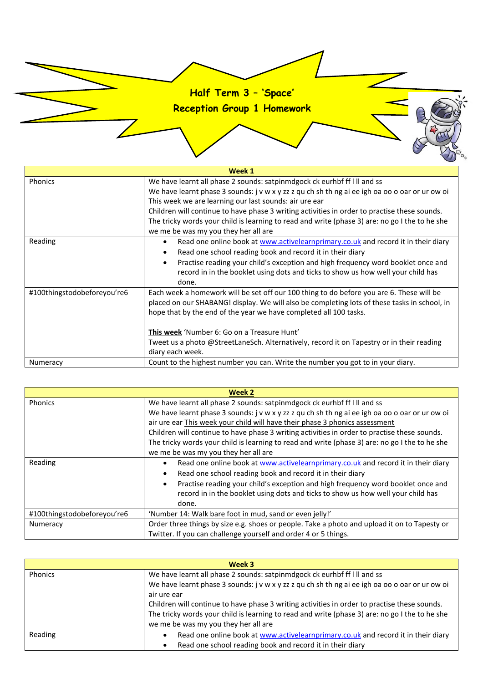## **Half Term 3 – 'Space'**

**Reception Group 1 Homework**

| Week 1                      |                                                                                                                                                                                                                                                                                                                                                                                                                                                                                |
|-----------------------------|--------------------------------------------------------------------------------------------------------------------------------------------------------------------------------------------------------------------------------------------------------------------------------------------------------------------------------------------------------------------------------------------------------------------------------------------------------------------------------|
| <b>Phonics</b>              | We have learnt all phase 2 sounds: satpinmdgock ck eurhbf ff I II and ss<br>We have learnt phase 3 sounds: j v w x y zz z qu ch sh th ng ai ee igh oa oo o oar or ur ow oi<br>This week we are learning our last sounds: air ure ear<br>Children will continue to have phase 3 writing activities in order to practise these sounds.<br>The tricky words your child is learning to read and write (phase 3) are: no go I the to he she<br>we me be was my you they her all are |
| Reading                     | Read one online book at www.activelearnprimary.co.uk and record it in their diary<br>$\bullet$<br>Read one school reading book and record it in their diary<br>Practise reading your child's exception and high frequency word booklet once and<br>record in in the booklet using dots and ticks to show us how well your child has<br>done.                                                                                                                                   |
| #100thingstodobeforeyou're6 | Each week a homework will be set off our 100 thing to do before you are 6. These will be<br>placed on our SHABANG! display. We will also be completing lots of these tasks in school, in<br>hope that by the end of the year we have completed all 100 tasks.<br><b>This week</b> 'Number 6: Go on a Treasure Hunt'<br>Tweet us a photo @StreetLaneSch. Alternatively, record it on Tapestry or in their reading<br>diary each week.                                           |
| Numeracy                    | Count to the highest number you can. Write the number you got to in your diary.                                                                                                                                                                                                                                                                                                                                                                                                |

| Week 2                      |                                                                                                |
|-----------------------------|------------------------------------------------------------------------------------------------|
| Phonics                     | We have learnt all phase 2 sounds: satpinmdgock ck eurhbf ff I II and ss                       |
|                             | We have learnt phase 3 sounds: j v w x y zz z qu ch sh th ng ai ee igh oa oo o oar or ur ow oi |
|                             | air ure ear This week your child will have their phase 3 phonics assessment                    |
|                             | Children will continue to have phase 3 writing activities in order to practise these sounds.   |
|                             | The tricky words your child is learning to read and write (phase 3) are: no go I the to he she |
|                             | we me be was my you they her all are                                                           |
| Reading                     | Read one online book at www.activelearnprimary.co.uk and record it in their diary              |
|                             | Read one school reading book and record it in their diary                                      |
|                             | Practise reading your child's exception and high frequency word booklet once and               |
|                             | record in in the booklet using dots and ticks to show us how well your child has               |
|                             | done.                                                                                          |
| #100thingstodobeforeyou're6 | 'Number 14: Walk bare foot in mud, sand or even jelly!'                                        |
| Numeracy                    | Order three things by size e.g. shoes or people. Take a photo and upload it on to Tapesty or   |
|                             | Twitter. If you can challenge yourself and order 4 or 5 things.                                |

| Week 3  |                                                                                                |  |
|---------|------------------------------------------------------------------------------------------------|--|
| Phonics | We have learnt all phase 2 sounds: satpinmdgock ck eurhbf ff I II and ss                       |  |
|         | We have learnt phase 3 sounds: j v w x y zz z qu ch sh th ng ai ee igh oa oo o oar or ur ow oi |  |
|         | air ure ear                                                                                    |  |
|         | Children will continue to have phase 3 writing activities in order to practise these sounds.   |  |
|         | The tricky words your child is learning to read and write (phase 3) are: no go I the to he she |  |
|         | we me be was my you they her all are                                                           |  |
| Reading | Read one online book at www.activelearnprimary.co.uk and record it in their diary              |  |
|         | Read one school reading book and record it in their diary                                      |  |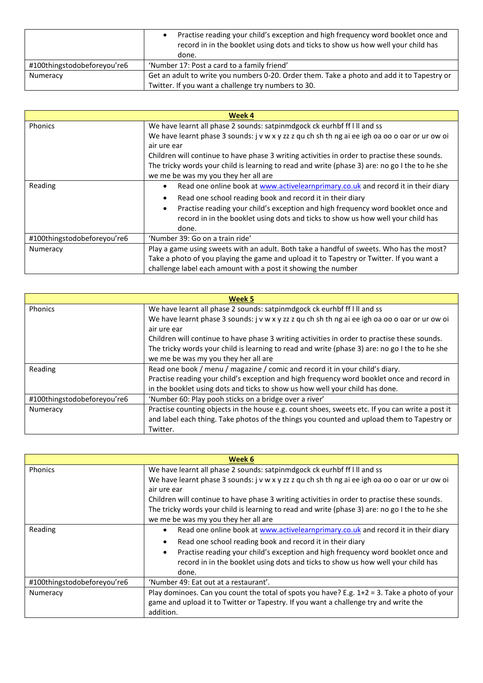|                             | Practise reading your child's exception and high frequency word booklet once and<br>record in in the booklet using dots and ticks to show us how well your child has<br>done. |
|-----------------------------|-------------------------------------------------------------------------------------------------------------------------------------------------------------------------------|
| #100thingstodobeforeyou're6 | 'Number 17: Post a card to a family friend'                                                                                                                                   |
| Numeracy                    | Get an adult to write you numbers 0-20. Order them. Take a photo and add it to Tapestry or                                                                                    |
|                             | Twitter. If you want a challenge try numbers to 30.                                                                                                                           |

| Week 4                      |                                                                                                                                                                      |
|-----------------------------|----------------------------------------------------------------------------------------------------------------------------------------------------------------------|
| <b>Phonics</b>              | We have learnt all phase 2 sounds: satpinmdgock ck eurhbf ff I II and ss                                                                                             |
|                             | We have learnt phase 3 sounds: j v w x y zz z qu ch sh th ng ai ee igh oa oo o oar or ur ow oi<br>air ure ear                                                        |
|                             | Children will continue to have phase 3 writing activities in order to practise these sounds.                                                                         |
|                             | The tricky words your child is learning to read and write (phase 3) are: no go I the to he she                                                                       |
|                             | we me be was my you they her all are                                                                                                                                 |
| Reading                     | Read one online book at www.activelearnprimary.co.uk and record it in their diary                                                                                    |
|                             | Read one school reading book and record it in their diary                                                                                                            |
|                             | Practise reading your child's exception and high frequency word booklet once and<br>record in in the booklet using dots and ticks to show us how well your child has |
|                             | done.                                                                                                                                                                |
| #100thingstodobeforeyou're6 | 'Number 39: Go on a train ride'                                                                                                                                      |
| Numeracy                    | Play a game using sweets with an adult. Both take a handful of sweets. Who has the most?                                                                             |
|                             | Take a photo of you playing the game and upload it to Tapestry or Twitter. If you want a                                                                             |
|                             | challenge label each amount with a post it showing the number                                                                                                        |

| Week 5                      |                                                                                                 |
|-----------------------------|-------------------------------------------------------------------------------------------------|
| Phonics                     | We have learnt all phase 2 sounds: satpinmdgock ck eurhbf ff I II and ss                        |
|                             | We have learnt phase 3 sounds: j v w x y zz z qu ch sh th ng ai ee igh oa oo o oar or ur ow oi  |
|                             | air ure ear                                                                                     |
|                             | Children will continue to have phase 3 writing activities in order to practise these sounds.    |
|                             | The tricky words your child is learning to read and write (phase 3) are: no go I the to he she  |
|                             | we me be was my you they her all are                                                            |
| Reading                     | Read one book / menu / magazine / comic and record it in your child's diary.                    |
|                             | Practise reading your child's exception and high frequency word booklet once and record in      |
|                             | in the booklet using dots and ticks to show us how well your child has done.                    |
| #100thingstodobeforeyou're6 | 'Number 60: Play pooh sticks on a bridge over a river'                                          |
| Numeracy                    | Practise counting objects in the house e.g. count shoes, sweets etc. If you can write a post it |
|                             | and label each thing. Take photos of the things you counted and upload them to Tapestry or      |
|                             | Twitter.                                                                                        |

| Week 6                      |                                                                                                                                                                      |  |  |  |  |
|-----------------------------|----------------------------------------------------------------------------------------------------------------------------------------------------------------------|--|--|--|--|
| <b>Phonics</b>              | We have learnt all phase 2 sounds: satpinmdgock ck eurhbf ff I II and ss                                                                                             |  |  |  |  |
|                             | We have learnt phase 3 sounds: j v w x y zz z qu ch sh th ng ai ee igh oa oo o oar or ur ow oi<br>air ure ear                                                        |  |  |  |  |
|                             | Children will continue to have phase 3 writing activities in order to practise these sounds.                                                                         |  |  |  |  |
|                             | The tricky words your child is learning to read and write (phase 3) are: no go I the to he she                                                                       |  |  |  |  |
|                             | we me be was my you they her all are                                                                                                                                 |  |  |  |  |
| Reading                     | Read one online book at www.activelearnprimary.co.uk and record it in their diary                                                                                    |  |  |  |  |
|                             | Read one school reading book and record it in their diary<br>٠                                                                                                       |  |  |  |  |
|                             | Practise reading your child's exception and high frequency word booklet once and<br>record in in the booklet using dots and ticks to show us how well your child has |  |  |  |  |
|                             | done.                                                                                                                                                                |  |  |  |  |
| #100thingstodobeforeyou're6 | 'Number 49: Eat out at a restaurant'.                                                                                                                                |  |  |  |  |
| Numeracy                    | Play dominoes. Can you count the total of spots you have? E.g. $1+2 = 3$ . Take a photo of your                                                                      |  |  |  |  |
|                             | game and upload it to Twitter or Tapestry. If you want a challenge try and write the                                                                                 |  |  |  |  |
|                             | addition.                                                                                                                                                            |  |  |  |  |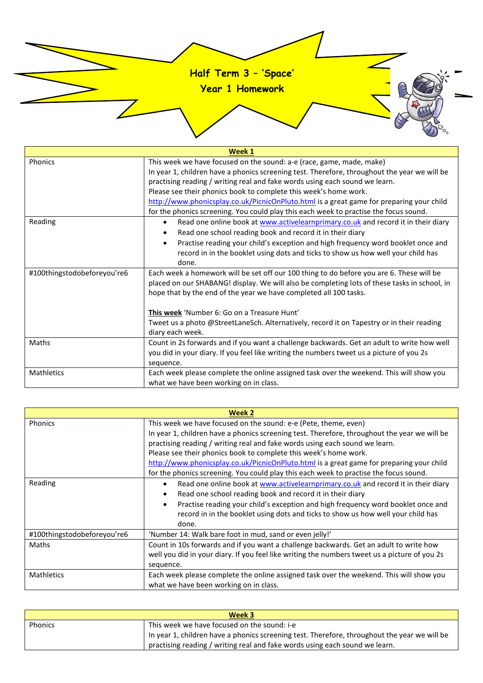

**Year 1 Homework**

| Week 1                      |                                                                                                                                                                                                                                                               |  |
|-----------------------------|---------------------------------------------------------------------------------------------------------------------------------------------------------------------------------------------------------------------------------------------------------------|--|
| Phonics                     | This week we have focused on the sound: a-e (race, game, made, make)                                                                                                                                                                                          |  |
|                             | In year 1, children have a phonics screening test. Therefore, throughout the year we will be                                                                                                                                                                  |  |
|                             | practising reading / writing real and fake words using each sound we learn.                                                                                                                                                                                   |  |
|                             | Please see their phonics book to complete this week's home work.                                                                                                                                                                                              |  |
|                             | http://www.phonicsplay.co.uk/PicnicOnPluto.html is a great game for preparing your child                                                                                                                                                                      |  |
|                             | for the phonics screening. You could play this each week to practise the focus sound.                                                                                                                                                                         |  |
| Reading                     | Read one online book at www.activelearnprimary.co.uk and record it in their diary<br>$\bullet$                                                                                                                                                                |  |
|                             | Read one school reading book and record it in their diary                                                                                                                                                                                                     |  |
|                             | Practise reading your child's exception and high frequency word booklet once and<br>$\bullet$                                                                                                                                                                 |  |
|                             | record in in the booklet using dots and ticks to show us how well your child has                                                                                                                                                                              |  |
|                             | done.                                                                                                                                                                                                                                                         |  |
| #100thingstodobeforeyou're6 | Each week a homework will be set off our 100 thing to do before you are 6. These will be<br>placed on our SHABANG! display. We will also be completing lots of these tasks in school, in<br>hope that by the end of the year we have completed all 100 tasks. |  |
|                             |                                                                                                                                                                                                                                                               |  |
|                             | This week 'Number 6: Go on a Treasure Hunt'                                                                                                                                                                                                                   |  |
|                             | Tweet us a photo @StreetLaneSch. Alternatively, record it on Tapestry or in their reading                                                                                                                                                                     |  |
|                             | diary each week.                                                                                                                                                                                                                                              |  |
| Maths                       | Count in 2s forwards and if you want a challenge backwards. Get an adult to write how well                                                                                                                                                                    |  |
|                             | you did in your diary. If you feel like writing the numbers tweet us a picture of you 2s                                                                                                                                                                      |  |
|                             | sequence.                                                                                                                                                                                                                                                     |  |
| <b>Mathletics</b>           | Each week please complete the online assigned task over the weekend. This will show you                                                                                                                                                                       |  |
|                             | what we have been working on in class.                                                                                                                                                                                                                        |  |

| Week 2                      |                                                                                                |  |  |  |  |  |
|-----------------------------|------------------------------------------------------------------------------------------------|--|--|--|--|--|
| <b>Phonics</b>              | This week we have focused on the sound: e-e (Pete, theme, even)                                |  |  |  |  |  |
|                             | In year 1, children have a phonics screening test. Therefore, throughout the year we will be   |  |  |  |  |  |
|                             | practising reading / writing real and fake words using each sound we learn.                    |  |  |  |  |  |
|                             | Please see their phonics book to complete this week's home work.                               |  |  |  |  |  |
|                             | http://www.phonicsplay.co.uk/PicnicOnPluto.html is a great game for preparing your child       |  |  |  |  |  |
|                             | for the phonics screening. You could play this each week to practise the focus sound.          |  |  |  |  |  |
| Reading                     | Read one online book at www.activelearnprimary.co.uk and record it in their diary<br>$\bullet$ |  |  |  |  |  |
|                             | Read one school reading book and record it in their diary                                      |  |  |  |  |  |
|                             | Practise reading your child's exception and high frequency word booklet once and               |  |  |  |  |  |
|                             | record in in the booklet using dots and ticks to show us how well your child has               |  |  |  |  |  |
|                             | done.                                                                                          |  |  |  |  |  |
| #100thingstodobeforeyou're6 | 'Number 14: Walk bare foot in mud, sand or even jelly!'                                        |  |  |  |  |  |
| Maths                       | Count in 10s forwards and if you want a challenge backwards. Get an adult to write how         |  |  |  |  |  |
|                             | well you did in your diary. If you feel like writing the numbers tweet us a picture of you 2s  |  |  |  |  |  |
|                             | sequence.                                                                                      |  |  |  |  |  |
| <b>Mathletics</b>           | Each week please complete the online assigned task over the weekend. This will show you        |  |  |  |  |  |
|                             | what we have been working on in class.                                                         |  |  |  |  |  |

| Week 3         |                                                                                              |  |
|----------------|----------------------------------------------------------------------------------------------|--|
| <b>Phonics</b> | This week we have focused on the sound: i-e                                                  |  |
|                | In year 1, children have a phonics screening test. Therefore, throughout the year we will be |  |
|                | practising reading / writing real and fake words using each sound we learn.                  |  |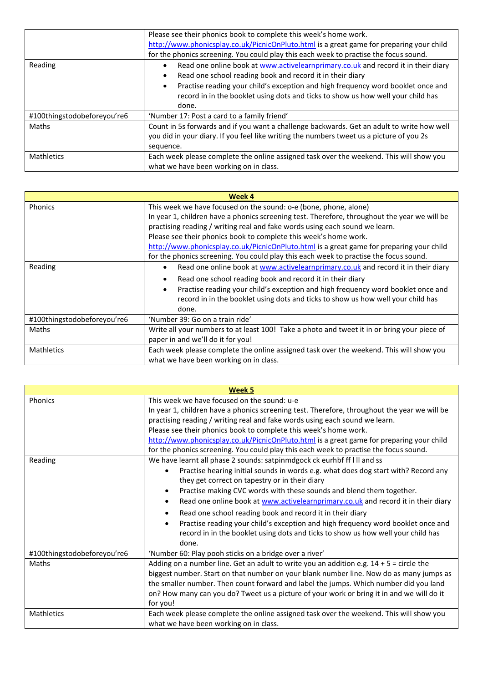|                             | Please see their phonics book to complete this week's home work.                               |  |  |  |  |  |
|-----------------------------|------------------------------------------------------------------------------------------------|--|--|--|--|--|
|                             | http://www.phonicsplay.co.uk/PicnicOnPluto.html is a great game for preparing your child       |  |  |  |  |  |
|                             | for the phonics screening. You could play this each week to practise the focus sound.          |  |  |  |  |  |
| Reading                     | Read one online book at www.activelearnprimary.co.uk and record it in their diary<br>$\bullet$ |  |  |  |  |  |
|                             | Read one school reading book and record it in their diary<br>$\bullet$                         |  |  |  |  |  |
|                             | Practise reading your child's exception and high frequency word booklet once and<br>$\bullet$  |  |  |  |  |  |
|                             | record in in the booklet using dots and ticks to show us how well your child has               |  |  |  |  |  |
|                             | done.                                                                                          |  |  |  |  |  |
| #100thingstodobeforeyou're6 | 'Number 17: Post a card to a family friend'                                                    |  |  |  |  |  |
| Maths                       | Count in 5s forwards and if you want a challenge backwards. Get an adult to write how well     |  |  |  |  |  |
|                             | you did in your diary. If you feel like writing the numbers tweet us a picture of you 2s       |  |  |  |  |  |
|                             | sequence.                                                                                      |  |  |  |  |  |
| <b>Mathletics</b>           | Each week please complete the online assigned task over the weekend. This will show you        |  |  |  |  |  |
|                             | what we have been working on in class.                                                         |  |  |  |  |  |

| Week 4                      |                                                                                               |  |  |  |  |
|-----------------------------|-----------------------------------------------------------------------------------------------|--|--|--|--|
| <b>Phonics</b>              | This week we have focused on the sound: o-e (bone, phone, alone)                              |  |  |  |  |
|                             | In year 1, children have a phonics screening test. Therefore, throughout the year we will be  |  |  |  |  |
|                             | practising reading / writing real and fake words using each sound we learn.                   |  |  |  |  |
|                             | Please see their phonics book to complete this week's home work.                              |  |  |  |  |
|                             | http://www.phonicsplay.co.uk/PicnicOnPluto.html is a great game for preparing your child      |  |  |  |  |
|                             | for the phonics screening. You could play this each week to practise the focus sound.         |  |  |  |  |
| Reading                     | Read one online book at www.activelearnprimary.co.uk and record it in their diary             |  |  |  |  |
|                             | Read one school reading book and record it in their diary<br>٠                                |  |  |  |  |
|                             | Practise reading your child's exception and high frequency word booklet once and<br>$\bullet$ |  |  |  |  |
|                             | record in in the booklet using dots and ticks to show us how well your child has              |  |  |  |  |
|                             | done.                                                                                         |  |  |  |  |
| #100thingstodobeforeyou're6 | 'Number 39: Go on a train ride'                                                               |  |  |  |  |
| Maths                       | Write all your numbers to at least 100! Take a photo and tweet it in or bring your piece of   |  |  |  |  |
|                             | paper in and we'll do it for you!                                                             |  |  |  |  |
| <b>Mathletics</b>           | Each week please complete the online assigned task over the weekend. This will show you       |  |  |  |  |
|                             | what we have been working on in class.                                                        |  |  |  |  |

| Week 5                      |                                                                                                                                                                                                                                                                                                                                                                                                                                                                                                                                                                                                                                                                                              |  |  |  |  |  |
|-----------------------------|----------------------------------------------------------------------------------------------------------------------------------------------------------------------------------------------------------------------------------------------------------------------------------------------------------------------------------------------------------------------------------------------------------------------------------------------------------------------------------------------------------------------------------------------------------------------------------------------------------------------------------------------------------------------------------------------|--|--|--|--|--|
| Phonics                     | This week we have focused on the sound: u-e<br>In year 1, children have a phonics screening test. Therefore, throughout the year we will be                                                                                                                                                                                                                                                                                                                                                                                                                                                                                                                                                  |  |  |  |  |  |
|                             | practising reading / writing real and fake words using each sound we learn.<br>Please see their phonics book to complete this week's home work.                                                                                                                                                                                                                                                                                                                                                                                                                                                                                                                                              |  |  |  |  |  |
|                             | http://www.phonicsplay.co.uk/PicnicOnPluto.html is a great game for preparing your child<br>for the phonics screening. You could play this each week to practise the focus sound.                                                                                                                                                                                                                                                                                                                                                                                                                                                                                                            |  |  |  |  |  |
| Reading                     | We have learnt all phase 2 sounds: satpinmdgock ck eurhbf ff I II and ss<br>Practise hearing initial sounds in words e.g. what does dog start with? Record any<br>$\bullet$<br>they get correct on tapestry or in their diary<br>Practise making CVC words with these sounds and blend them together.<br>$\bullet$<br>Read one online book at www.activelearnprimary.co.uk and record it in their diary<br>$\bullet$<br>Read one school reading book and record it in their diary<br>$\bullet$<br>Practise reading your child's exception and high frequency word booklet once and<br>$\bullet$<br>record in in the booklet using dots and ticks to show us how well your child has<br>done. |  |  |  |  |  |
| #100thingstodobeforeyou're6 | 'Number 60: Play pooh sticks on a bridge over a river'                                                                                                                                                                                                                                                                                                                                                                                                                                                                                                                                                                                                                                       |  |  |  |  |  |
| Maths                       | Adding on a number line. Get an adult to write you an addition e.g. $14 + 5 =$ circle the<br>biggest number. Start on that number on your blank number line. Now do as many jumps as<br>the smaller number. Then count forward and label the jumps. Which number did you land<br>on? How many can you do? Tweet us a picture of your work or bring it in and we will do it<br>for you!                                                                                                                                                                                                                                                                                                       |  |  |  |  |  |
| <b>Mathletics</b>           | Each week please complete the online assigned task over the weekend. This will show you<br>what we have been working on in class.                                                                                                                                                                                                                                                                                                                                                                                                                                                                                                                                                            |  |  |  |  |  |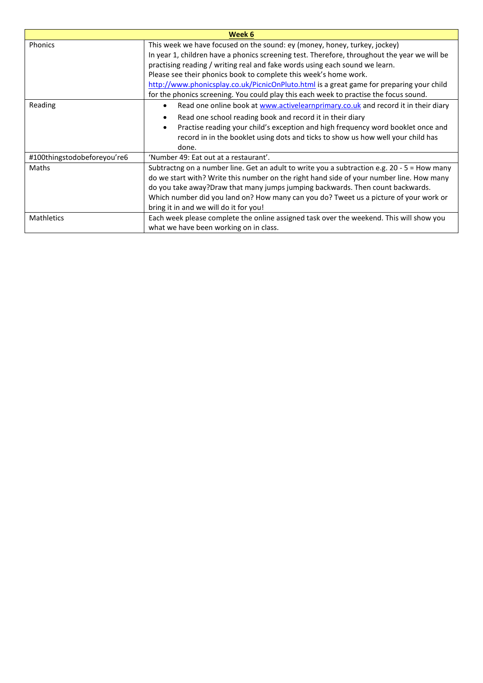| Week 6                      |                                                                                                                                                                                                                                                                                                                                                                                                                                                                                                                   |  |
|-----------------------------|-------------------------------------------------------------------------------------------------------------------------------------------------------------------------------------------------------------------------------------------------------------------------------------------------------------------------------------------------------------------------------------------------------------------------------------------------------------------------------------------------------------------|--|
| <b>Phonics</b>              | This week we have focused on the sound: ey (money, honey, turkey, jockey)<br>In year 1, children have a phonics screening test. Therefore, throughout the year we will be<br>practising reading / writing real and fake words using each sound we learn.<br>Please see their phonics book to complete this week's home work.<br>http://www.phonicsplay.co.uk/PicnicOnPluto.html is a great game for preparing your child<br>for the phonics screening. You could play this each week to practise the focus sound. |  |
| Reading                     | Read one online book at www.activelearnprimary.co.uk and record it in their diary<br>$\bullet$<br>Read one school reading book and record it in their diary<br>Practise reading your child's exception and high frequency word booklet once and<br>record in in the booklet using dots and ticks to show us how well your child has<br>done.                                                                                                                                                                      |  |
| #100thingstodobeforeyou're6 | 'Number 49: Eat out at a restaurant'.                                                                                                                                                                                                                                                                                                                                                                                                                                                                             |  |
| Maths                       | Subtractng on a number line. Get an adult to write you a subtraction e.g. 20 - 5 = How many<br>do we start with? Write this number on the right hand side of your number line. How many<br>do you take away?Draw that many jumps jumping backwards. Then count backwards.<br>Which number did you land on? How many can you do? Tweet us a picture of your work or<br>bring it in and we will do it for you!                                                                                                      |  |
| <b>Mathletics</b>           | Each week please complete the online assigned task over the weekend. This will show you<br>what we have been working on in class.                                                                                                                                                                                                                                                                                                                                                                                 |  |